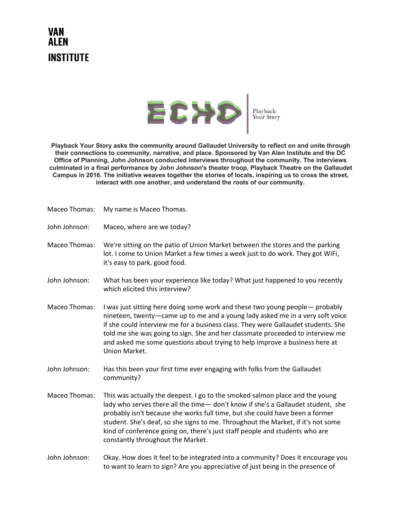## VAN AI FN **INSTITUTE**



**Playback Your Story asks the community around Gallaudet University to reflect on and unite through their connections to community, narrative, and place. Sponsored by Van Alen Institute and the DC Office of Planning, John Johnson conducted interviews throughout the community. The interviews culminated in a final performance by John Johnson's theater troop, Playback Theatre on the Gallaudet Campus in 2016. The initiative weaves together the stories of locals, inspiring us to cross the street, interact with one another, and understand the roots of our community.**

| Maceo Thomas: | My name is Maceo Thomas. |
|---------------|--------------------------|
|---------------|--------------------------|

John Johnson: Maceo, where are we today?

Maceo Thomas: We're sitting on the patio of Union Market between the stores and the parking lot. I come to Union Market a few times a week just to do work. They got WiFi, it's easy to park, good food.

- John Johnson: What has been your experience like today? What just happened to you recently which elicited this interview?
- Maceo Thomas: I was just sitting here doing some work and these two young people— probably nineteen, twenty—came up to me and a young lady asked me in a very soft voice if she could interview me for a business class. They were Gallaudet students. She told me she was going to sign. She and her classmate proceeded to interview me and asked me some questions about trying to help improve a business here at Union Market.
- John Johnson: Has this been your first time ever engaging with folks from the Gallaudet community?
- Maceo Thomas: This was actually the deepest. I go to the smoked salmon place and the young lady who serves there all the time— don't know if she's a Gallaudet student, she probably isn't because she works full time, but she could have been a former student. She's deaf, so she signs to me. Throughout the Market, if it's not some kind of conference going on, there's just staff people and students who are constantly throughout the Market.
- John Johnson: Okay. How does it feel to be integrated into a community? Does it encourage you to want to learn to sign? Are you appreciative of just being in the presence of